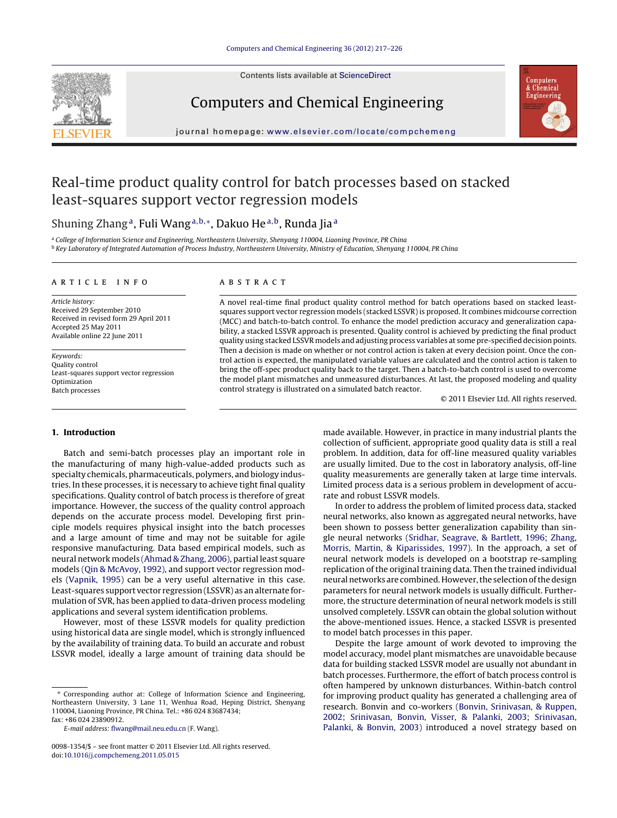

Contents lists available at [ScienceDirect](http://www.sciencedirect.com/science/journal/00981354)

## Computers and Chemical Engineering



iournal homepage: [www.elsevier.com/locate/compchemeng](http://www.elsevier.com/locate/compchemeng)

## Real-time product quality control for batch processes based on stacked least-squares support vector regression models

### Shuning Zhang<sup>a</sup>, Fuli Wang<sup>a,b,\*</sup>, Dakuo He<sup>a,b</sup>, Runda Jia<sup>a</sup>

a College of Information Science and Engineering, Northeastern University, Shenyang 110004, Liaoning Province, PR China <sup>b</sup> Key Laboratory of Integrated Automation of Process Industry, Northeastern University, Ministry of Education, Shenyang 110004, PR China

#### a r t i c l e i n f o

Article history: Received 29 September 2010 Received in revised form 29 April 2011 Accepted 25 May 2011 Available online 22 June 2011

Keywords: Quality control Least-squares support vector regression Optimization Batch processes

#### A B S T R A C T

A novel real-time final product quality control method for batch operations based on stacked leastsquares support vector regression models (stacked LSSVR) is proposed. It combines midcourse correction (MCC) and batch-to-batch control. To enhance the model prediction accuracy and generalization capability, a stacked LSSVR approach is presented. Quality control is achieved by predicting the final product quality using stacked LSSVR models and adjusting process variables at some pre-specified decision points. Then a decision is made on whether or not control action is taken at every decision point. Once the control action is expected, the manipulated variable values are calculated and the control action is taken to bring the off-spec product quality back to the target. Then a batch-to-batch control is used to overcome the model plant mismatches and unmeasured disturbances. At last, the proposed modeling and quality control strategy is illustrated on a simulated batch reactor.

© 2011 Elsevier Ltd. All rights reserved.

#### **1. Introduction**

Batch and semi-batch processes play an important role in the manufacturing of many high-value-added products such as specialty chemicals, pharmaceuticals, polymers, and biology industries. In these processes, it is necessary to achieve tight final quality specifications. Quality control of batch process is therefore of great importance. However, the success of the quality control approach depends on the accurate process model. Developing first principle models requires physical insight into the batch processes and a large amount of time and may not be suitable for agile responsive manufacturing. Data based empirical models, such as neural network models [\(Ahmad](#page--1-0) [&](#page--1-0) [Zhang,](#page--1-0) [2006\),](#page--1-0) partial least square models [\(Qin](#page--1-0) [&](#page--1-0) [McAvoy,](#page--1-0) [1992\),](#page--1-0) and support vector regression models ([Vapnik,](#page--1-0) [1995\)](#page--1-0) can be a very useful alternative in this case. Least-squares support vector regression (LSSVR) as an alternate formulation of SVR, has been applied to data-driven process modeling applications and several system identification problems.

However, most of these LSSVR models for quality prediction using historical data are single model, which is strongly influenced by the availability of training data. To build an accurate and robust LSSVR model, ideally a large amount of training data should be

E-mail address: [flwang@mail.neu.edu.cn](mailto:flwang@mail.neu.edu.cn) (F. Wang).

made available. However, in practice in many industrial plants the collection of sufficient, appropriate good quality data is still a real problem. In addition, data for off-line measured quality variables are usually limited. Due to the cost in laboratory analysis, off-line quality measurements are generally taken at large time intervals. Limited process data is a serious problem in development of accurate and robust LSSVR models.

In order to address the problem of limited process data, stacked neural networks, also known as aggregated neural networks, have been shown to possess better generalization capability than single neural networks [\(Sridhar,](#page--1-0) [Seagrave,](#page--1-0) [&](#page--1-0) [Bartlett,](#page--1-0) [1996;](#page--1-0) [Zhang,](#page--1-0) [Morris,](#page--1-0) [Martin,](#page--1-0) [&](#page--1-0) [Kiparissides,](#page--1-0) [1997\).](#page--1-0) In the approach, a set of neural network models is developed on a bootstrap re-sampling replication of the original training data. Then the trained individual neural networks are combined. However, the selection of the design parameters for neural network models is usually difficult. Furthermore, the structure determination of neural network models is still unsolved completely. LSSVR can obtain the global solution without the above-mentioned issues. Hence, a stacked LSSVR is presented to model batch processes in this paper.

Despite the large amount of work devoted to improving the model accuracy, model plant mismatches are unavoidable because data for building stacked LSSVR model are usually not abundant in batch processes. Furthermore, the effort of batch process control is often hampered by unknown disturbances. Within-batch control for improving product quality has generated a challenging area of research. Bonvin and co-workers [\(Bonvin,](#page--1-0) [Srinivasan,](#page--1-0) [&](#page--1-0) [Ruppen,](#page--1-0) [2002;](#page--1-0) [Srinivasan,](#page--1-0) [Bonvin,](#page--1-0) [Visser,](#page--1-0) [&](#page--1-0) [Palanki,](#page--1-0) [2003;](#page--1-0) [Srinivasan,](#page--1-0) [Palanki,](#page--1-0) [&](#page--1-0) [Bonvin,](#page--1-0) [2003\)](#page--1-0) introduced a novel strategy based on

<sup>∗</sup> Corresponding author at: College of Information Science and Engineering, Northeastern University, 3 Lane 11, Wenhua Road, Heping District, Shenyang 110004, Liaoning Province, PR China. Tel.: +86 024 83687434; fax: +86 024 23890912.

<sup>0098-1354/\$</sup> – see front matter © 2011 Elsevier Ltd. All rights reserved. doi:[10.1016/j.compchemeng.2011.05.015](dx.doi.org/10.1016/j.compchemeng.2011.05.015)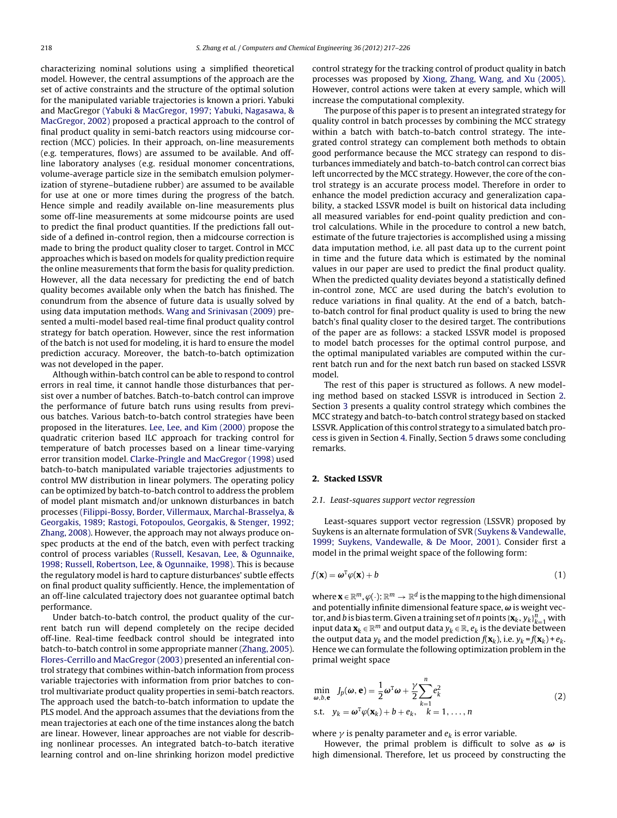characterizing nominal solutions using a simplified theoretical model. However, the central assumptions of the approach are the set of active constraints and the structure of the optimal solution for the manipulated variable trajectories is known a priori. Yabuki and MacGregor [\(Yabuki](#page--1-0) [&](#page--1-0) [MacGregor,](#page--1-0) [1997;](#page--1-0) [Yabuki,](#page--1-0) [Nagasawa,](#page--1-0) [&](#page--1-0) [MacGregor,](#page--1-0) [2002\)](#page--1-0) proposed a practical approach to the control of final product quality in semi-batch reactors using midcourse correction (MCC) policies. In their approach, on-line measurements (e.g. temperatures, flows) are assumed to be available. And offline laboratory analyses (e.g. residual monomer concentrations, volume-average particle size in the semibatch emulsion polymerization of styrene–butadiene rubber) are assumed to be available for use at one or more times during the progress of the batch. Hence simple and readily available on-line measurements plus some off-line measurements at some midcourse points are used to predict the final product quantities. If the predictions fall outside of a defined in-control region, then a midcourse correction is made to bring the product quality closer to target. Control in MCC approaches which is based on models for quality prediction require the online measurements that form the basis for quality prediction. However, all the data necessary for predicting the end of batch quality becomes available only when the batch has finished. The conundrum from the absence of future data is usually solved by using data imputation methods. [Wang](#page--1-0) [and](#page--1-0) [Srinivasan](#page--1-0) [\(2009\)](#page--1-0) presented a multi-model based real-time final product quality control strategy for batch operation. However, since the rest information of the batch is not used for modeling, it is hard to ensure the model prediction accuracy. Moreover, the batch-to-batch optimization was not developed in the paper.

Although within-batch control can be able to respond to control errors in real time, it cannot handle those disturbances that persist over a number of batches. Batch-to-batch control can improve the performance of future batch runs using results from previous batches. Various batch-to-batch control strategies have been proposed in the literatures. [Lee,](#page--1-0) [Lee,](#page--1-0) [and](#page--1-0) [Kim](#page--1-0) [\(2000\)](#page--1-0) propose the quadratic criterion based ILC approach for tracking control for temperature of batch processes based on a linear time-varying error transition model. [Clarke-Pringle](#page--1-0) [and](#page--1-0) [MacGregor](#page--1-0) [\(1998\)](#page--1-0) used batch-to-batch manipulated variable trajectories adjustments to control MW distribution in linear polymers. The operating policy can be optimized by batch-to-batch control to address the problem of model plant mismatch and/or unknown disturbances in batch processes [\(Filippi-Bossy,](#page--1-0) [Border,](#page--1-0) [Villermaux,](#page--1-0) [Marchal-Brasselya,](#page--1-0) [&](#page--1-0) [Georgakis,](#page--1-0) [1989;](#page--1-0) [Rastogi,](#page--1-0) [Fotopoulos,](#page--1-0) [Georgakis,](#page--1-0) [&](#page--1-0) [Stenger,](#page--1-0) [1992;](#page--1-0) [Zhang,](#page--1-0) [2008\).](#page--1-0) However, the approach may not always produce onspec products at the end of the batch, even with perfect tracking control of process variables [\(Russell,](#page--1-0) [Kesavan,](#page--1-0) [Lee,](#page--1-0) [&](#page--1-0) [Ogunnaike,](#page--1-0) [1998;](#page--1-0) [Russell,](#page--1-0) [Robertson,](#page--1-0) [Lee,](#page--1-0) [&](#page--1-0) [Ogunnaike,](#page--1-0) [1998\).](#page--1-0) This is because the regulatory model is hard to capture disturbances' subtle effects on final product quality sufficiently. Hence, the implementation of an off-line calculated trajectory does not guarantee optimal batch performance.

Under batch-to-batch control, the product quality of the current batch run will depend completely on the recipe decided off-line. Real-time feedback control should be integrated into batch-to-batch control in some appropriate manner [\(Zhang,](#page--1-0) [2005\).](#page--1-0) [Flores-Cerrillo](#page--1-0) [and](#page--1-0) [MacGregor](#page--1-0) [\(2003\)](#page--1-0) presented an inferential control strategy that combines within-batch information from process variable trajectories with information from prior batches to control multivariate product quality properties in semi-batch reactors. The approach used the batch-to-batch information to update the PLS model. And the approach assumes that the deviations from the mean trajectories at each one of the time instances along the batch are linear. However, linear approaches are not viable for describing nonlinear processes. An integrated batch-to-batch iterative learning control and on-line shrinking horizon model predictive

control strategy for the tracking control of product quality in batch processes was proposed by [Xiong,](#page--1-0) [Zhang,](#page--1-0) [Wang,](#page--1-0) [and](#page--1-0) [Xu](#page--1-0) [\(2005\).](#page--1-0) However, control actions were taken at every sample, which will increase the computational complexity.

The purpose of this paper is to present an integrated strategy for quality control in batch processes by combining the MCC strategy within a batch with batch-to-batch control strategy. The integrated control strategy can complement both methods to obtain good performance because the MCC strategy can respond to disturbances immediately and batch-to-batch control can correct bias left uncorrected by the MCC strategy. However, the core of the control strategy is an accurate process model. Therefore in order to enhance the model prediction accuracy and generalization capability, a stacked LSSVR model is built on historical data including all measured variables for end-point quality prediction and control calculations. While in the procedure to control a new batch, estimate of the future trajectories is accomplished using a missing data imputation method, i.e. all past data up to the current point in time and the future data which is estimated by the nominal values in our paper are used to predict the final product quality. When the predicted quality deviates beyond a statistically defined in-control zone, MCC are used during the batch's evolution to reduce variations in final quality. At the end of a batch, batchto-batch control for final product quality is used to bring the new batch's final quality closer to the desired target. The contributions of the paper are as follows: a stacked LSSVR model is proposed to model batch processes for the optimal control purpose, and the optimal manipulated variables are computed within the current batch run and for the next batch run based on stacked LSSVR model.

The rest of this paper is structured as follows. A new modeling method based on stacked LSSVR is introduced in Section 2. Section [3](#page--1-0) presents a quality control strategy which combines the MCC strategy and batch-to-batch control strategy based on stacked LSSVR. Application of this control strategy to a simulated batch process is given in Section [4.](#page--1-0) Finally, Section [5](#page--1-0) draws some concluding remarks.

#### **2. Stacked LSSVR**

#### 2.1. Least-squares support vector regression

Least-squares support vector regression (LSSVR) proposed by Suykens is an alternate formulation of SVR [\(Suykens](#page--1-0) [&](#page--1-0) [Vandewalle,](#page--1-0) [1999;](#page--1-0) [Suykens,](#page--1-0) [Vandewalle,](#page--1-0) [&](#page--1-0) [De](#page--1-0) [Moor,](#page--1-0) [2001\).](#page--1-0) Consider first a model in the primal weight space of the following form:

$$
f(\mathbf{x}) = \boldsymbol{\omega}^{\mathrm{T}} \varphi(\mathbf{x}) + b \tag{1}
$$

where  $\mathbf{x} \in \mathbb{R}^m$ ,  $\varphi(\cdot)$ :  $\mathbb{R}^m \to \mathbb{R}^d$  is the mapping to the high dimensional and potentially infinite dimensional feature space, **ω** is weight vector, and b is bias term. Given a training set of n points  $\left\{{\mathbf{x}}_k, y_k\right\}_{k=1}^n$  with input data  $\mathbf{x}_k \in \mathbb{R}^m$  and output data  $y_k \in \mathbb{R}$ ,  $e_k$  is the deviate between the output data  $y_k$  and the model prediction  $f(\mathbf{x}_k)$ , i.e.  $y_k = f(\mathbf{x}_k) + e_k$ . Hence we can formulate the following optimization problem in the primal weight space

$$
\min_{\boldsymbol{\omega},b,\mathbf{e}} J_p(\boldsymbol{\omega},\mathbf{e}) = \frac{1}{2}\boldsymbol{\omega}^T\boldsymbol{\omega} + \frac{\gamma}{2}\sum_{k=1}^n e_k^2
$$
\n
$$
\text{s.t.} \quad y_k = \boldsymbol{\omega}^T\varphi(\mathbf{x}_k) + b + e_k, \quad k = 1, \dots, n
$$
\n
$$
(2)
$$

where  $\gamma$  is penalty parameter and  $e_k$  is error variable.

However, the primal problem is difficult to solve as **ω** is high dimensional. Therefore, let us proceed by constructing the